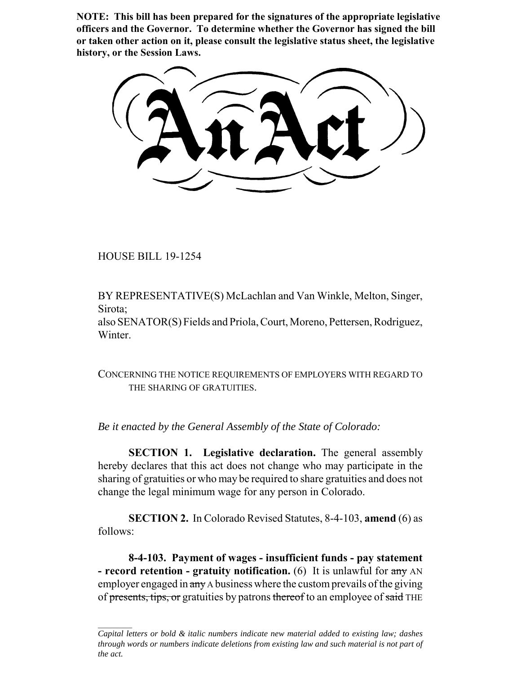**NOTE: This bill has been prepared for the signatures of the appropriate legislative officers and the Governor. To determine whether the Governor has signed the bill or taken other action on it, please consult the legislative status sheet, the legislative history, or the Session Laws.**

HOUSE BILL 19-1254

BY REPRESENTATIVE(S) McLachlan and Van Winkle, Melton, Singer, Sirota;

also SENATOR(S) Fields and Priola, Court, Moreno, Pettersen, Rodriguez, Winter.

CONCERNING THE NOTICE REQUIREMENTS OF EMPLOYERS WITH REGARD TO THE SHARING OF GRATUITIES.

*Be it enacted by the General Assembly of the State of Colorado:*

**SECTION 1. Legislative declaration.** The general assembly hereby declares that this act does not change who may participate in the sharing of gratuities or who may be required to share gratuities and does not change the legal minimum wage for any person in Colorado.

**SECTION 2.** In Colorado Revised Statutes, 8-4-103, **amend** (6) as follows:

**8-4-103. Payment of wages - insufficient funds - pay statement - record retention - gratuity notification.** (6) It is unlawful for any AN employer engaged in any A business where the custom prevails of the giving of presents, tips, or gratuities by patrons thereof to an employee of said THE

*Capital letters or bold & italic numbers indicate new material added to existing law; dashes through words or numbers indicate deletions from existing law and such material is not part of the act.*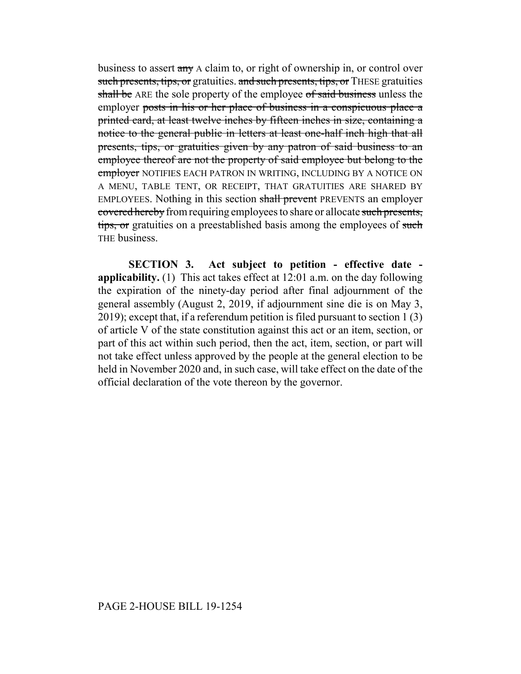business to assert any A claim to, or right of ownership in, or control over such presents, tips, or gratuities, and such presents, tips, or THESE gratuities shall be ARE the sole property of the employee of said business unless the employer posts in his or her place of business in a conspicuous place a printed card, at least twelve inches by fifteen inches in size, containing a notice to the general public in letters at least one-half inch high that all presents, tips, or gratuities given by any patron of said business to an employee thereof are not the property of said employee but belong to the employer NOTIFIES EACH PATRON IN WRITING, INCLUDING BY A NOTICE ON A MENU, TABLE TENT, OR RECEIPT, THAT GRATUITIES ARE SHARED BY EMPLOYEES. Nothing in this section shall prevent PREVENTS an employer covered hereby from requiring employees to share or allocate such presents, tips, or gratuities on a preestablished basis among the employees of such THE business.

**SECTION 3. Act subject to petition - effective date applicability.** (1) This act takes effect at 12:01 a.m. on the day following the expiration of the ninety-day period after final adjournment of the general assembly (August 2, 2019, if adjournment sine die is on May 3, 2019); except that, if a referendum petition is filed pursuant to section 1 (3) of article V of the state constitution against this act or an item, section, or part of this act within such period, then the act, item, section, or part will not take effect unless approved by the people at the general election to be held in November 2020 and, in such case, will take effect on the date of the official declaration of the vote thereon by the governor.